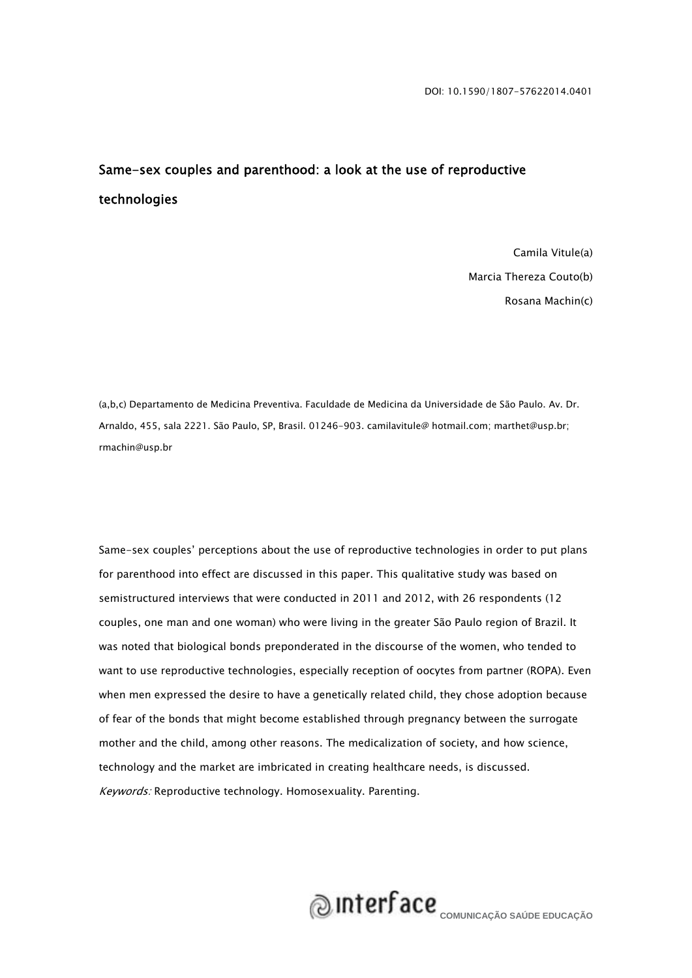### Same-sex couples and parenthood: a look at the use of reproductive technologies

Camila Vitule(a) Marcia Thereza Couto(b) Rosana Machin(c)

(a,b,c) Departamento de Medicina Preventiva. Faculdade de Medicina da Universidade de São Paulo. Av. Dr. Arnaldo, 455, sala 2221. São Paulo, SP, Brasil. 01246-903. camilavitule@ hotmail.com; marthet@usp.br; rmachin@usp.br

Same-sex couples' perceptions about the use of reproductive technologies in order to put plans for parenthood into effect are discussed in this paper. This qualitative study was based on semistructured interviews that were conducted in 2011 and 2012, with 26 respondents (12 couples, one man and one woman) who were living in the greater São Paulo region of Brazil. It was noted that biological bonds preponderated in the discourse of the women, who tended to want to use reproductive technologies, especially reception of oocytes from partner (ROPA). Even when men expressed the desire to have a genetically related child, they chose adoption because of fear of the bonds that might become established through pregnancy between the surrogate mother and the child, among other reasons. The medicalization of society, and how science, technology and the market are imbricated in creating healthcare needs, is discussed. Keywords: Reproductive technology. Homosexuality. Parenting.

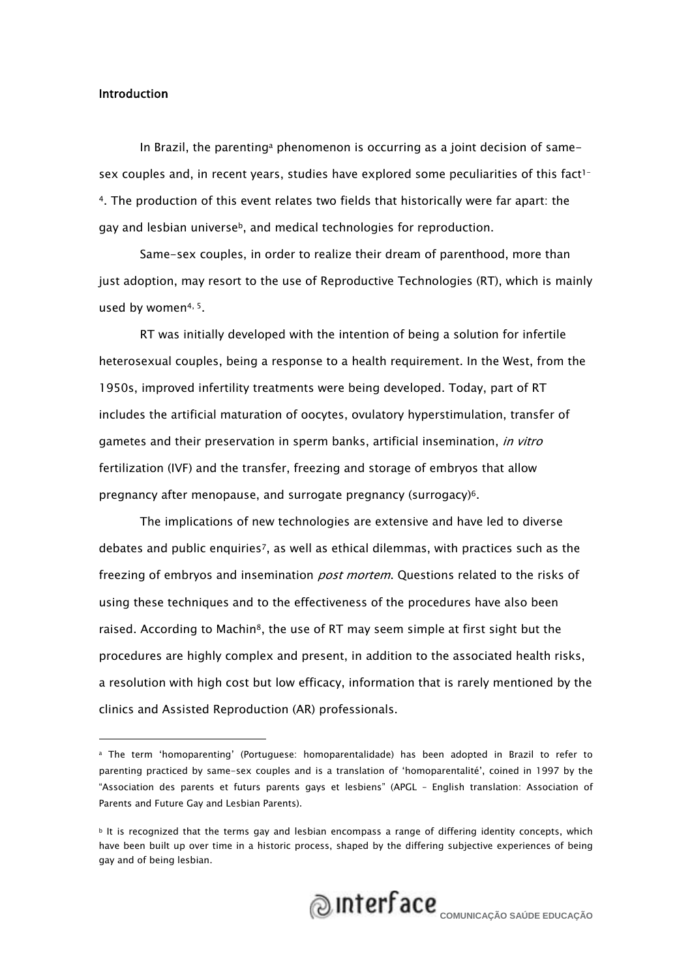#### Introduction

In Brazil, the parentinga phenomenon is occurring as a joint decision of samesex couples and, in recent years, studies have explored some peculiarities of this fact<sup>1-</sup> 4. The production of this event relates two fields that historically were far apart: the gay and lesbian universe<sup>b</sup>, and medical technologies for reproduction.

Same-sex couples, in order to realize their dream of parenthood, more than just adoption, may resort to the use of Reproductive Technologies (RT), which is mainly used by women4, 5.

RT was initially developed with the intention of being a solution for infertile heterosexual couples, being a response to a health requirement. In the West, from the 1950s, improved infertility treatments were being developed. Today, part of RT includes the artificial maturation of oocytes, ovulatory hyperstimulation, transfer of gametes and their preservation in sperm banks, artificial insemination, in vitro fertilization (IVF) and the transfer, freezing and storage of embryos that allow pregnancy after menopause, and surrogate pregnancy (surrogacy)6.

The implications of new technologies are extensive and have led to diverse debates and public enquiries7, as well as ethical dilemmas, with practices such as the freezing of embryos and insemination *post mortem*. Questions related to the risks of using these techniques and to the effectiveness of the procedures have also been raised. According to Machin<sup>8</sup>, the use of RT may seem simple at first sight but the procedures are highly complex and present, in addition to the associated health risks, a resolution with high cost but low efficacy, information that is rarely mentioned by the clinics and Assisted Reproduction (AR) professionals.

 $b$  It is recognized that the terms gay and lesbian encompass a range of differing identity concepts, which have been built up over time in a historic process, shaped by the differing subjective experiences of being gay and of being lesbian.



a The term 'homoparenting' (Portuguese: homoparentalidade) has been adopted in Brazil to refer to parenting practiced by same-sex couples and is a translation of 'homoparentalité', coined in 1997 by the "Association des parents et futurs parents gays et lesbiens" (APGL – English translation: Association of Parents and Future Gay and Lesbian Parents).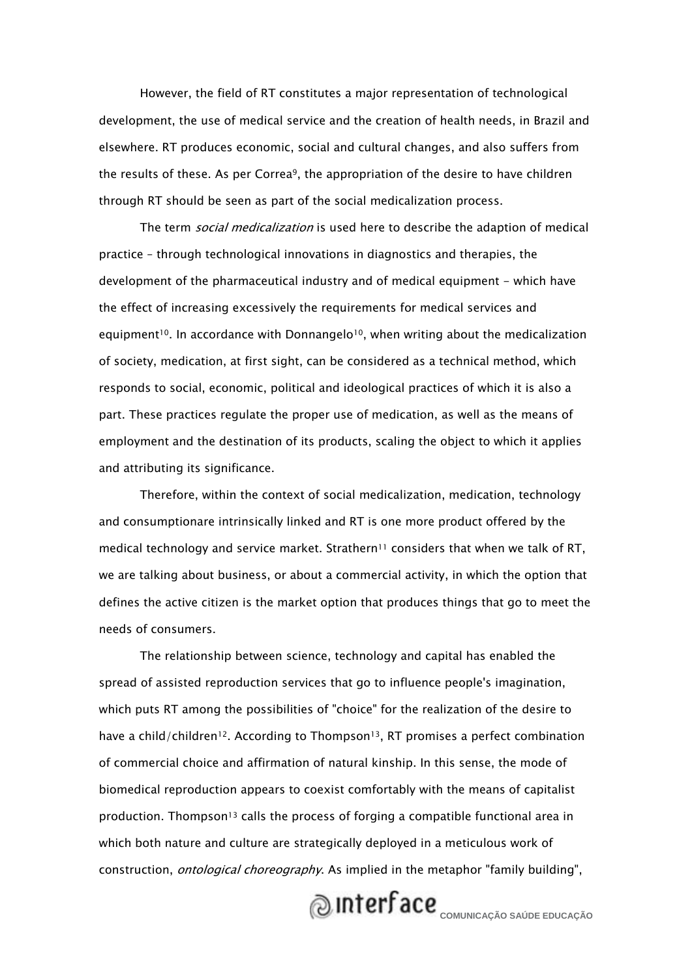However, the field of RT constitutes a major representation of technological development, the use of medical service and the creation of health needs, in Brazil and elsewhere. RT produces economic, social and cultural changes, and also suffers from the results of these. As per Correa9, the appropriation of the desire to have children through RT should be seen as part of the social medicalization process.

The term *social medicalization* is used here to describe the adaption of medical practice – through technological innovations in diagnostics and therapies, the development of the pharmaceutical industry and of medical equipment - which have the effect of increasing excessively the requirements for medical services and equipment<sup>10</sup>. In accordance with Donnangelo<sup>10</sup>, when writing about the medicalization of society, medication, at first sight, can be considered as a technical method, which responds to social, economic, political and ideological practices of which it is also a part. These practices regulate the proper use of medication, as well as the means of employment and the destination of its products, scaling the object to which it applies and attributing its significance.

Therefore, within the context of social medicalization, medication, technology and consumptionare intrinsically linked and RT is one more product offered by the medical technology and service market. Strathern<sup>11</sup> considers that when we talk of RT, we are talking about business, or about a commercial activity, in which the option that defines the active citizen is the market option that produces things that go to meet the needs of consumers.

The relationship between science, technology and capital has enabled the spread of assisted reproduction services that go to influence people's imagination, which puts RT among the possibilities of "choice" for the realization of the desire to have a child/children<sup>12</sup>. According to Thompson<sup>13</sup>, RT promises a perfect combination of commercial choice and affirmation of natural kinship. In this sense, the mode of biomedical reproduction appears to coexist comfortably with the means of capitalist production. Thompson<sup>13</sup> calls the process of forging a compatible functional area in which both nature and culture are strategically deployed in a meticulous work of construction, *ontological choreography*. As implied in the metaphor "family building",

# **Q**INTELLE COMUNICAÇÃO SAÚDE EDUCAÇÃO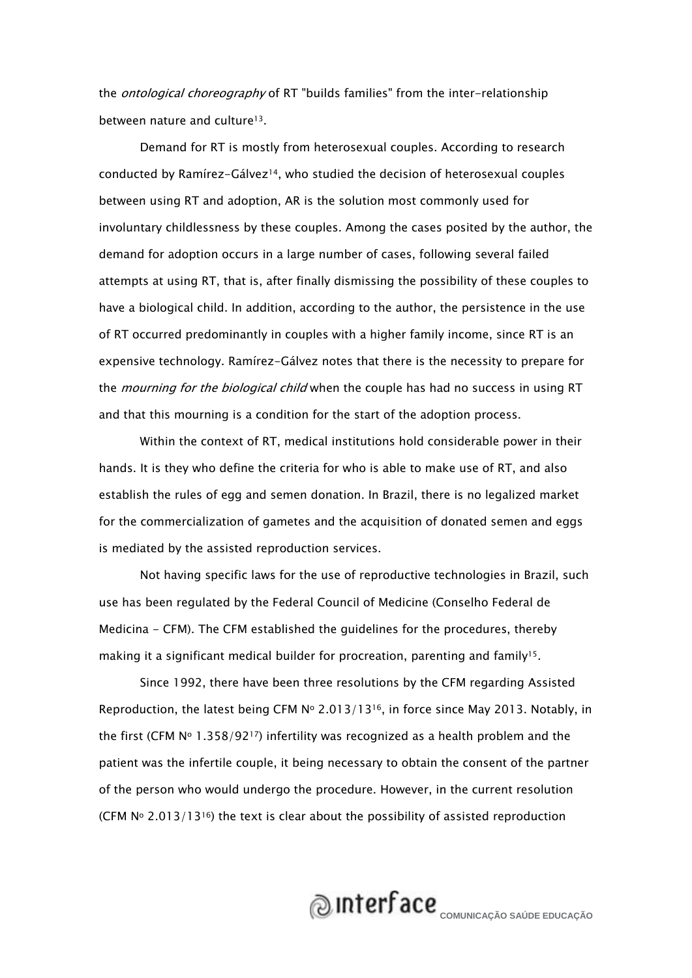the *ontological choreography* of RT "builds families" from the inter-relationship between nature and culture<sup>13</sup>.

Demand for RT is mostly from heterosexual couples. According to research conducted by Ramírez-Gálvez<sup>14</sup>, who studied the decision of heterosexual couples between using RT and adoption, AR is the solution most commonly used for involuntary childlessness by these couples. Among the cases posited by the author, the demand for adoption occurs in a large number of cases, following several failed attempts at using RT, that is, after finally dismissing the possibility of these couples to have a biological child. In addition, according to the author, the persistence in the use of RT occurred predominantly in couples with a higher family income, since RT is an expensive technology. Ramírez-Gálvez notes that there is the necessity to prepare for the *mourning for the biological child* when the couple has had no success in using RT and that this mourning is a condition for the start of the adoption process.

Within the context of RT, medical institutions hold considerable power in their hands. It is they who define the criteria for who is able to make use of RT, and also establish the rules of egg and semen donation. In Brazil, there is no legalized market for the commercialization of gametes and the acquisition of donated semen and eggs is mediated by the assisted reproduction services.

Not having specific laws for the use of reproductive technologies in Brazil, such use has been regulated by the Federal Council of Medicine (Conselho Federal de Medicina - CFM). The CFM established the guidelines for the procedures, thereby making it a significant medical builder for procreation, parenting and family<sup>15</sup>.

Since 1992, there have been three resolutions by the CFM regarding Assisted Reproduction, the latest being CFM  $N^{\circ}$  2.013/13<sup>16</sup>, in force since May 2013. Notably, in the first (CFM  $N^{\circ}$  1.358/92<sup>17</sup>) infertility was recognized as a health problem and the patient was the infertile couple, it being necessary to obtain the consent of the partner of the person who would undergo the procedure. However, in the current resolution (CFM  $N^{\circ}$  2.013/13<sup>16</sup>) the text is clear about the possibility of assisted reproduction

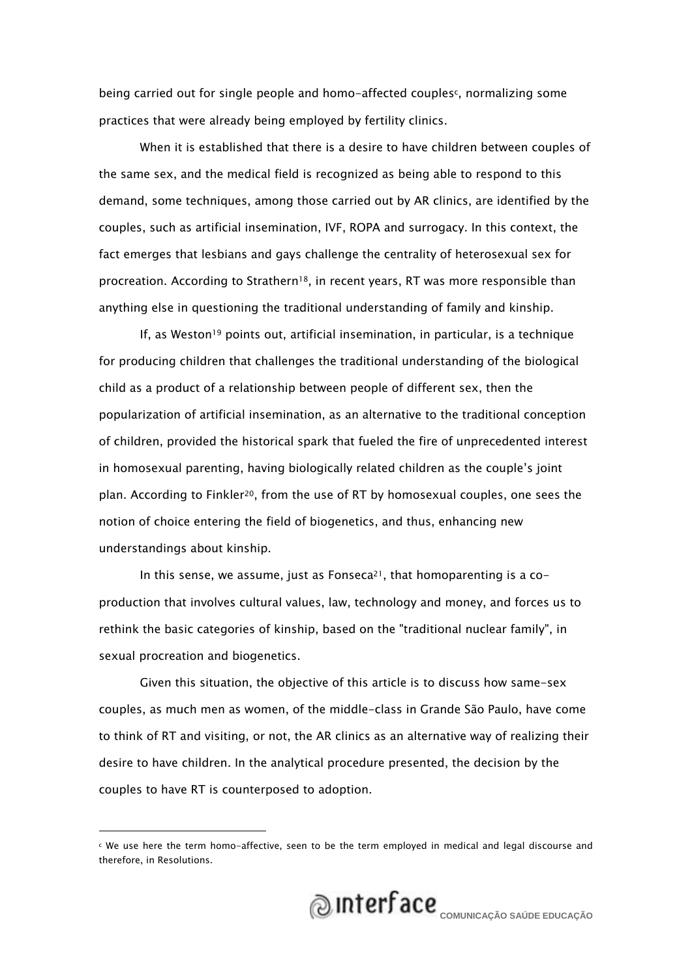being carried out for single people and homo-affected couplesc, normalizing some practices that were already being employed by fertility clinics.

When it is established that there is a desire to have children between couples of the same sex, and the medical field is recognized as being able to respond to this demand, some techniques, among those carried out by AR clinics, are identified by the couples, such as artificial insemination, IVF, ROPA and surrogacy. In this context, the fact emerges that lesbians and gays challenge the centrality of heterosexual sex for procreation. According to Strathern<sup>18</sup>, in recent years, RT was more responsible than anything else in questioning the traditional understanding of family and kinship.

If, as Weston<sup>19</sup> points out, artificial insemination, in particular, is a technique for producing children that challenges the traditional understanding of the biological child as a product of a relationship between people of different sex, then the popularization of artificial insemination, as an alternative to the traditional conception of children, provided the historical spark that fueled the fire of unprecedented interest in homosexual parenting, having biologically related children as the couple's joint plan. According to Finkler20, from the use of RT by homosexual couples, one sees the notion of choice entering the field of biogenetics, and thus, enhancing new understandings about kinship.

In this sense, we assume, just as Fonseca<sup>21</sup>, that homoparenting is a coproduction that involves cultural values, law, technology and money, and forces us to rethink the basic categories of kinship, based on the "traditional nuclear family", in sexual procreation and biogenetics.

Given this situation, the objective of this article is to discuss how same-sex couples, as much men as women, of the middle-class in Grande São Paulo, have come to think of RT and visiting, or not, the AR clinics as an alternative way of realizing their desire to have children. In the analytical procedure presented, the decision by the couples to have RT is counterposed to adoption.



c We use here the term homo-affective, seen to be the term employed in medical and legal discourse and therefore, in Resolutions.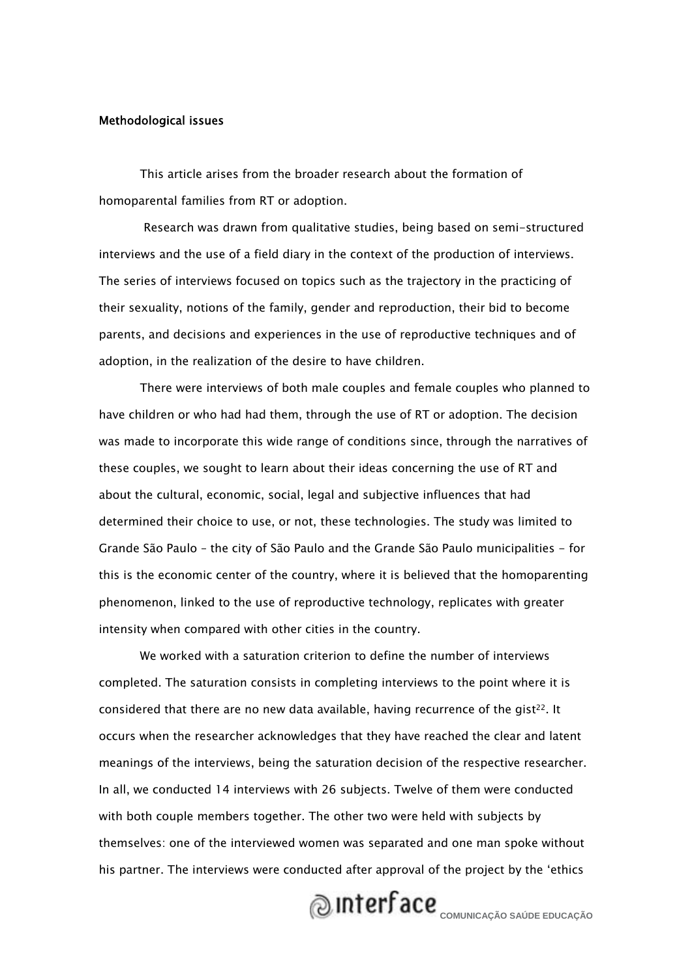#### Methodological issues

This article arises from the broader research about the formation of homoparental families from RT or adoption.

 Research was drawn from qualitative studies, being based on semi-structured interviews and the use of a field diary in the context of the production of interviews. The series of interviews focused on topics such as the trajectory in the practicing of their sexuality, notions of the family, gender and reproduction, their bid to become parents, and decisions and experiences in the use of reproductive techniques and of adoption, in the realization of the desire to have children.

There were interviews of both male couples and female couples who planned to have children or who had had them, through the use of RT or adoption. The decision was made to incorporate this wide range of conditions since, through the narratives of these couples, we sought to learn about their ideas concerning the use of RT and about the cultural, economic, social, legal and subjective influences that had determined their choice to use, or not, these technologies. The study was limited to Grande São Paulo – the city of São Paulo and the Grande São Paulo municipalities - for this is the economic center of the country, where it is believed that the homoparenting phenomenon, linked to the use of reproductive technology, replicates with greater intensity when compared with other cities in the country.

We worked with a saturation criterion to define the number of interviews completed. The saturation consists in completing interviews to the point where it is considered that there are no new data available, having recurrence of the gist<sup>22</sup>. It occurs when the researcher acknowledges that they have reached the clear and latent meanings of the interviews, being the saturation decision of the respective researcher. In all, we conducted 14 interviews with 26 subjects. Twelve of them were conducted with both couple members together. The other two were held with subjects by themselves: one of the interviewed women was separated and one man spoke without his partner. The interviews were conducted after approval of the project by the 'ethics

### **QUINTERFACE** COMUNICAÇÃO SAÚDE EDUCAÇÃO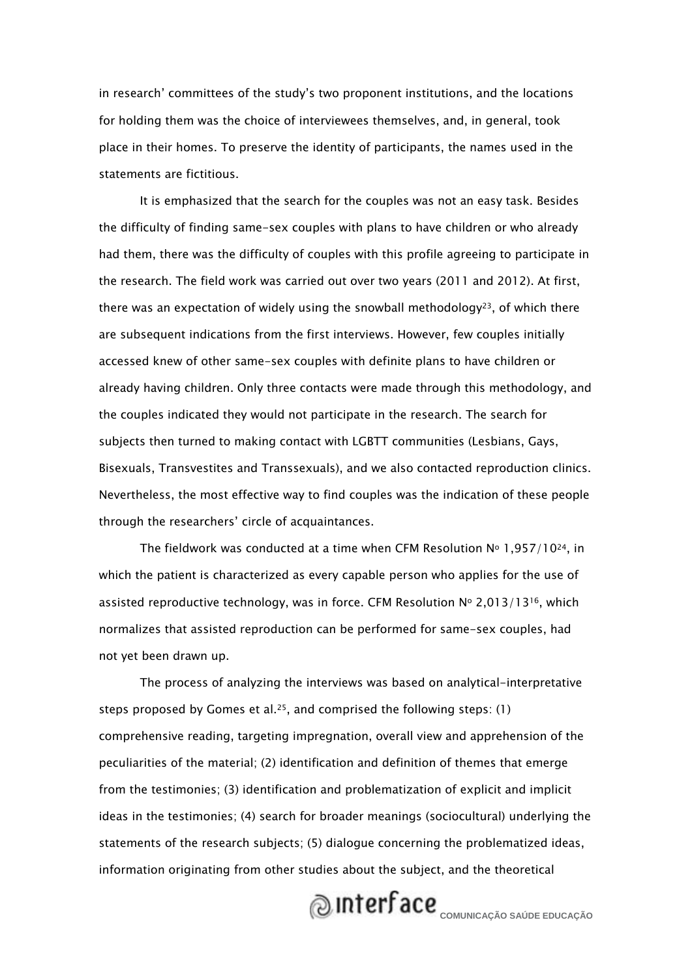in research' committees of the study's two proponent institutions, and the locations for holding them was the choice of interviewees themselves, and, in general, took place in their homes. To preserve the identity of participants, the names used in the statements are fictitious.

It is emphasized that the search for the couples was not an easy task. Besides the difficulty of finding same-sex couples with plans to have children or who already had them, there was the difficulty of couples with this profile agreeing to participate in the research. The field work was carried out over two years (2011 and 2012). At first, there was an expectation of widely using the snowball methodology<sup>23</sup>, of which there are subsequent indications from the first interviews. However, few couples initially accessed knew of other same-sex couples with definite plans to have children or already having children. Only three contacts were made through this methodology, and the couples indicated they would not participate in the research. The search for subjects then turned to making contact with LGBTT communities (Lesbians, Gays, Bisexuals, Transvestites and Transsexuals), and we also contacted reproduction clinics. Nevertheless, the most effective way to find couples was the indication of these people through the researchers' circle of acquaintances.

The fieldwork was conducted at a time when CFM Resolution  $N^{\circ}$  1,957/10<sup>24</sup>, in which the patient is characterized as every capable person who applies for the use of assisted reproductive technology, was in force. CFM Resolution  $N^{\circ}$  2,013/13<sup>16</sup>, which normalizes that assisted reproduction can be performed for same-sex couples, had not yet been drawn up.

The process of analyzing the interviews was based on analytical-interpretative steps proposed by Gomes et al.<sup>25</sup>, and comprised the following steps:  $(1)$ comprehensive reading, targeting impregnation, overall view and apprehension of the peculiarities of the material; (2) identification and definition of themes that emerge from the testimonies; (3) identification and problematization of explicit and implicit ideas in the testimonies; (4) search for broader meanings (sociocultural) underlying the statements of the research subjects; (5) dialogue concerning the problematized ideas, information originating from other studies about the subject, and the theoretical

# **COMUNICAÇÃO SAÚDE EDUCAÇÃO**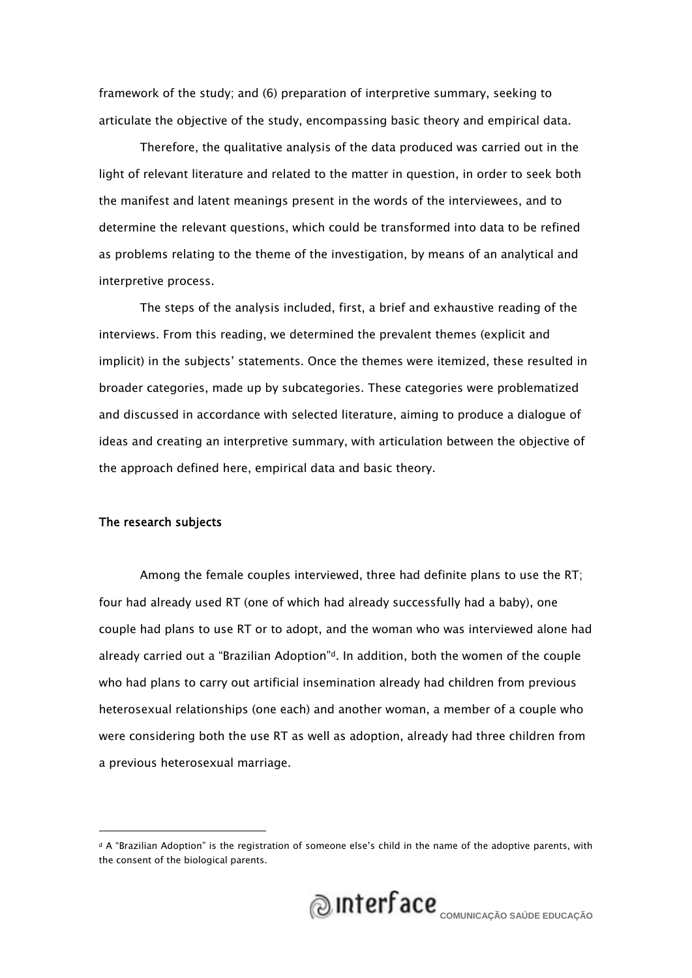framework of the study; and (6) preparation of interpretive summary, seeking to articulate the objective of the study, encompassing basic theory and empirical data.

Therefore, the qualitative analysis of the data produced was carried out in the light of relevant literature and related to the matter in question, in order to seek both the manifest and latent meanings present in the words of the interviewees, and to determine the relevant questions, which could be transformed into data to be refined as problems relating to the theme of the investigation, by means of an analytical and interpretive process.

The steps of the analysis included, first, a brief and exhaustive reading of the interviews. From this reading, we determined the prevalent themes (explicit and implicit) in the subjects' statements. Once the themes were itemized, these resulted in broader categories, made up by subcategories. These categories were problematized and discussed in accordance with selected literature, aiming to produce a dialogue of ideas and creating an interpretive summary, with articulation between the objective of the approach defined here, empirical data and basic theory.

### The research subjects

Among the female couples interviewed, three had definite plans to use the RT; four had already used RT (one of which had already successfully had a baby), one couple had plans to use RT or to adopt, and the woman who was interviewed alone had already carried out a "Brazilian Adoption"<sup>d</sup>. In addition, both the women of the couple who had plans to carry out artificial insemination already had children from previous heterosexual relationships (one each) and another woman, a member of a couple who were considering both the use RT as well as adoption, already had three children from a previous heterosexual marriage.

d A "Brazilian Adoption" is the registration of someone else's child in the name of the adoptive parents, with the consent of the biological parents.

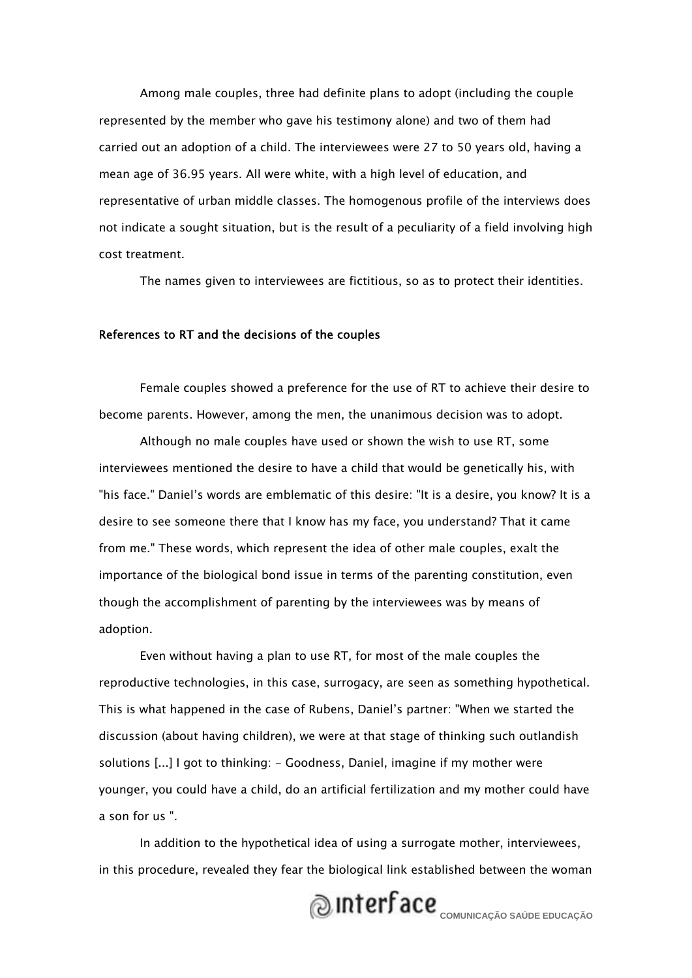Among male couples, three had definite plans to adopt (including the couple represented by the member who gave his testimony alone) and two of them had carried out an adoption of a child. The interviewees were 27 to 50 years old, having a mean age of 36.95 years. All were white, with a high level of education, and representative of urban middle classes. The homogenous profile of the interviews does not indicate a sought situation, but is the result of a peculiarity of a field involving high cost treatment.

The names given to interviewees are fictitious, so as to protect their identities.

### References to RT and the decisions of the couples

Female couples showed a preference for the use of RT to achieve their desire to become parents. However, among the men, the unanimous decision was to adopt.

Although no male couples have used or shown the wish to use RT, some interviewees mentioned the desire to have a child that would be genetically his, with "his face." Daniel's words are emblematic of this desire: "It is a desire, you know? It is a desire to see someone there that I know has my face, you understand? That it came from me." These words, which represent the idea of other male couples, exalt the importance of the biological bond issue in terms of the parenting constitution, even though the accomplishment of parenting by the interviewees was by means of adoption.

Even without having a plan to use RT, for most of the male couples the reproductive technologies, in this case, surrogacy, are seen as something hypothetical. This is what happened in the case of Rubens, Daniel's partner: "When we started the discussion (about having children), we were at that stage of thinking such outlandish solutions [...] I got to thinking: - Goodness, Daniel, imagine if my mother were younger, you could have a child, do an artificial fertilization and my mother could have a son for us ".

In addition to the hypothetical idea of using a surrogate mother, interviewees, in this procedure, revealed they fear the biological link established between the woman

# **COMUNICAÇÃO SAÚDE EDUCAÇÃO**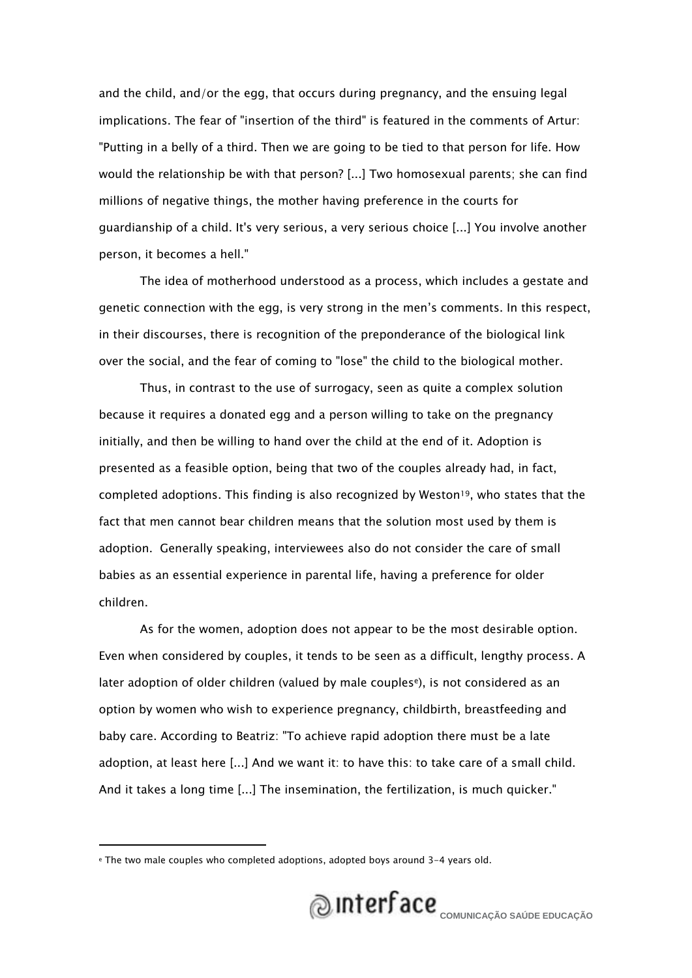and the child, and/or the egg, that occurs during pregnancy, and the ensuing legal implications. The fear of "insertion of the third" is featured in the comments of Artur: "Putting in a belly of a third. Then we are going to be tied to that person for life. How would the relationship be with that person? [...] Two homosexual parents; she can find millions of negative things, the mother having preference in the courts for guardianship of a child. It's very serious, a very serious choice [...] You involve another person, it becomes a hell."

The idea of motherhood understood as a process, which includes a gestate and genetic connection with the egg, is very strong in the men's comments. In this respect, in their discourses, there is recognition of the preponderance of the biological link over the social, and the fear of coming to "lose" the child to the biological mother.

Thus, in contrast to the use of surrogacy, seen as quite a complex solution because it requires a donated egg and a person willing to take on the pregnancy initially, and then be willing to hand over the child at the end of it. Adoption is presented as a feasible option, being that two of the couples already had, in fact, completed adoptions. This finding is also recognized by Weston<sup>19</sup>, who states that the fact that men cannot bear children means that the solution most used by them is adoption. Generally speaking, interviewees also do not consider the care of small babies as an essential experience in parental life, having a preference for older children.

As for the women, adoption does not appear to be the most desirable option. Even when considered by couples, it tends to be seen as a difficult, lengthy process. A later adoption of older children (valued by male couples<sup>e</sup>), is not considered as an option by women who wish to experience pregnancy, childbirth, breastfeeding and baby care. According to Beatriz: "To achieve rapid adoption there must be a late adoption, at least here [...] And we want it: to have this: to take care of a small child. And it takes a long time [...] The insemination, the fertilization, is much quicker."



e The two male couples who completed adoptions, adopted boys around 3-4 years old.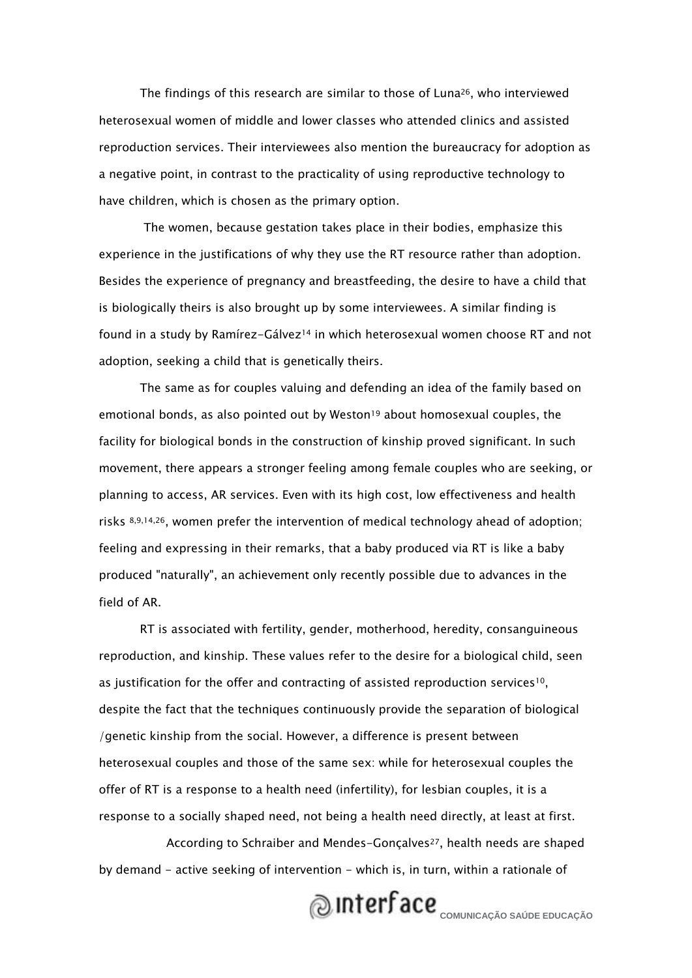The findings of this research are similar to those of Luna<sup>26</sup>, who interviewed heterosexual women of middle and lower classes who attended clinics and assisted reproduction services. Their interviewees also mention the bureaucracy for adoption as a negative point, in contrast to the practicality of using reproductive technology to have children, which is chosen as the primary option.

 The women, because gestation takes place in their bodies, emphasize this experience in the justifications of why they use the RT resource rather than adoption. Besides the experience of pregnancy and breastfeeding, the desire to have a child that is biologically theirs is also brought up by some interviewees. A similar finding is found in a study by Ramírez-Gálvez<sup>14</sup> in which heterosexual women choose RT and not adoption, seeking a child that is genetically theirs.

The same as for couples valuing and defending an idea of the family based on emotional bonds, as also pointed out by Weston<sup>19</sup> about homosexual couples, the facility for biological bonds in the construction of kinship proved significant. In such movement, there appears a stronger feeling among female couples who are seeking, or planning to access, AR services. Even with its high cost, low effectiveness and health risks  $8,9,14,26$ , women prefer the intervention of medical technology ahead of adoption; feeling and expressing in their remarks, that a baby produced via RT is like a baby produced "naturally", an achievement only recently possible due to advances in the field of AR.

RT is associated with fertility, gender, motherhood, heredity, consanguineous reproduction, and kinship. These values refer to the desire for a biological child, seen as justification for the offer and contracting of assisted reproduction services<sup>10</sup>, despite the fact that the techniques continuously provide the separation of biological /genetic kinship from the social. However, a difference is present between heterosexual couples and those of the same sex: while for heterosexual couples the offer of RT is a response to a health need (infertility), for lesbian couples, it is a response to a socially shaped need, not being a health need directly, at least at first.

According to Schraiber and Mendes-Gonçalves<sup>27</sup>, health needs are shaped by demand - active seeking of intervention - which is, in turn, within a rationale of

# **COMUNICAÇÃO SAÚDE EDUCAÇÃO**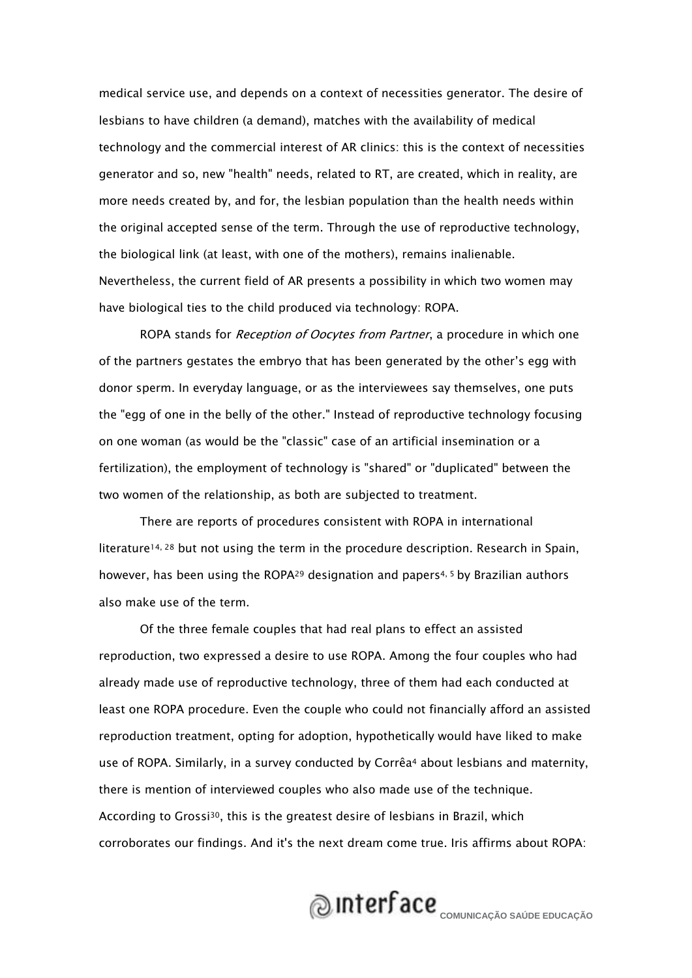medical service use, and depends on a context of necessities generator. The desire of lesbians to have children (a demand), matches with the availability of medical technology and the commercial interest of AR clinics: this is the context of necessities generator and so, new "health" needs, related to RT, are created, which in reality, are more needs created by, and for, the lesbian population than the health needs within the original accepted sense of the term. Through the use of reproductive technology, the biological link (at least, with one of the mothers), remains inalienable. Nevertheless, the current field of AR presents a possibility in which two women may have biological ties to the child produced via technology: ROPA.

ROPA stands for Reception of Oocytes from Partner, a procedure in which one of the partners gestates the embryo that has been generated by the other's egg with donor sperm. In everyday language, or as the interviewees say themselves, one puts the "egg of one in the belly of the other." Instead of reproductive technology focusing on one woman (as would be the "classic" case of an artificial insemination or a fertilization), the employment of technology is "shared" or "duplicated" between the two women of the relationship, as both are subjected to treatment.

There are reports of procedures consistent with ROPA in international literature<sup>14, 28</sup> but not using the term in the procedure description. Research in Spain, however, has been using the ROPA<sup>29</sup> designation and papers<sup>4, 5</sup> by Brazilian authors also make use of the term.

Of the three female couples that had real plans to effect an assisted reproduction, two expressed a desire to use ROPA. Among the four couples who had already made use of reproductive technology, three of them had each conducted at least one ROPA procedure. Even the couple who could not financially afford an assisted reproduction treatment, opting for adoption, hypothetically would have liked to make use of ROPA. Similarly, in a survey conducted by Corrêa<sup>4</sup> about lesbians and maternity, there is mention of interviewed couples who also made use of the technique. According to Grossi<sup>30</sup>, this is the greatest desire of lesbians in Brazil, which corroborates our findings. And it's the next dream come true. Iris affirms about ROPA:

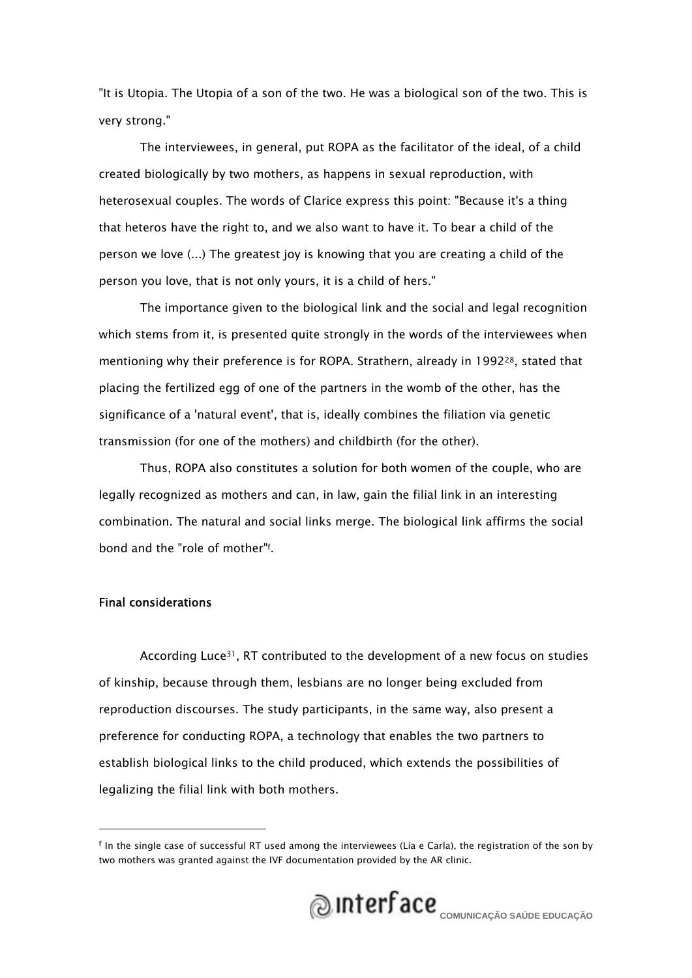"It is Utopia. The Utopia of a son of the two. He was a biological son of the two. This is very strong."

The interviewees, in general, put ROPA as the facilitator of the ideal, of a child created biologically by two mothers, as happens in sexual reproduction, with heterosexual couples. The words of Clarice express this point: "Because it's a thing that heteros have the right to, and we also want to have it. To bear a child of the person we love (...) The greatest joy is knowing that you are creating a child of the person you love, that is not only yours, it is a child of hers."

The importance given to the biological link and the social and legal recognition which stems from it, is presented quite strongly in the words of the interviewees when mentioning why their preference is for ROPA. Strathern, already in 199228, stated that placing the fertilized egg of one of the partners in the womb of the other, has the significance of a 'natural event', that is, ideally combines the filiation via genetic transmission (for one of the mothers) and childbirth (for the other).

Thus, ROPA also constitutes a solution for both women of the couple, who are legally recognized as mothers and can, in law, gain the filial link in an interesting combination. The natural and social links merge. The biological link affirms the social bond and the "role of mother"f .

### Final considerations

According Luce31, RT contributed to the development of a new focus on studies of kinship, because through them, lesbians are no longer being excluded from reproduction discourses. The study participants, in the same way, also present a preference for conducting ROPA, a technology that enables the two partners to establish biological links to the child produced, which extends the possibilities of legalizing the filial link with both mothers.

f In the single case of successful RT used among the interviewees (Lia e Carla), the registration of the son by two mothers was granted against the IVF documentation provided by the AR clinic.

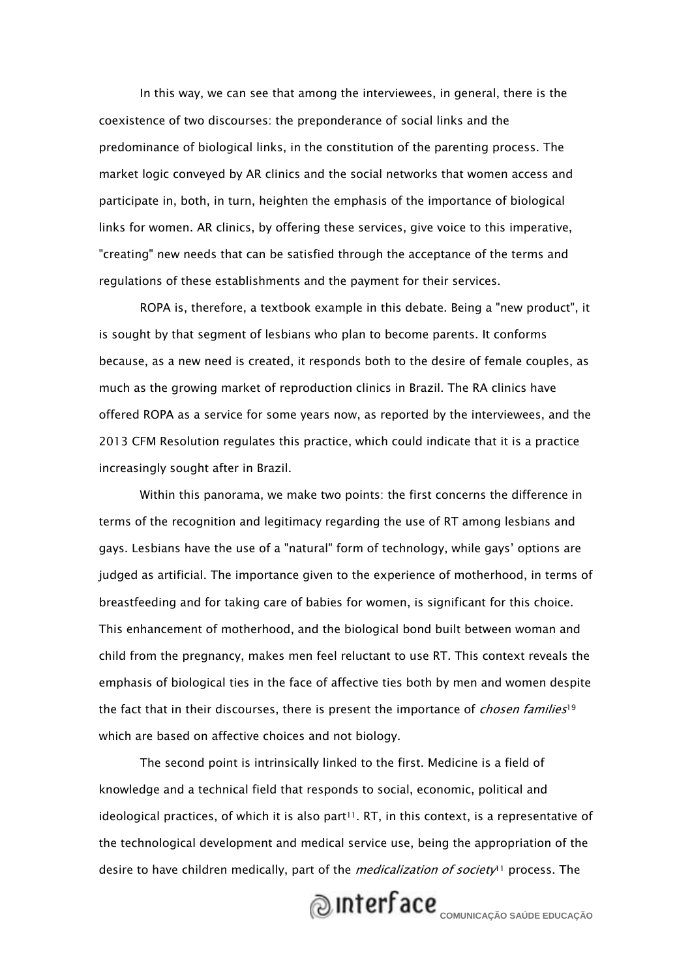In this way, we can see that among the interviewees, in general, there is the coexistence of two discourses: the preponderance of social links and the predominance of biological links, in the constitution of the parenting process. The market logic conveyed by AR clinics and the social networks that women access and participate in, both, in turn, heighten the emphasis of the importance of biological links for women. AR clinics, by offering these services, give voice to this imperative, "creating" new needs that can be satisfied through the acceptance of the terms and regulations of these establishments and the payment for their services.

ROPA is, therefore, a textbook example in this debate. Being a "new product", it is sought by that segment of lesbians who plan to become parents. It conforms because, as a new need is created, it responds both to the desire of female couples, as much as the growing market of reproduction clinics in Brazil. The RA clinics have offered ROPA as a service for some years now, as reported by the interviewees, and the 2013 CFM Resolution regulates this practice, which could indicate that it is a practice increasingly sought after in Brazil.

Within this panorama, we make two points: the first concerns the difference in terms of the recognition and legitimacy regarding the use of RT among lesbians and gays. Lesbians have the use of a "natural" form of technology, while gays' options are judged as artificial. The importance given to the experience of motherhood, in terms of breastfeeding and for taking care of babies for women, is significant for this choice. This enhancement of motherhood, and the biological bond built between woman and child from the pregnancy, makes men feel reluctant to use RT. This context reveals the emphasis of biological ties in the face of affective ties both by men and women despite the fact that in their discourses, there is present the importance of *chosen families*<sup>19</sup> which are based on affective choices and not biology.

The second point is intrinsically linked to the first. Medicine is a field of knowledge and a technical field that responds to social, economic, political and ideological practices, of which it is also part $11$ . RT, in this context, is a representative of the technological development and medical service use, being the appropriation of the desire to have children medically, part of the *medicalization of society*<sup>11</sup> process. The

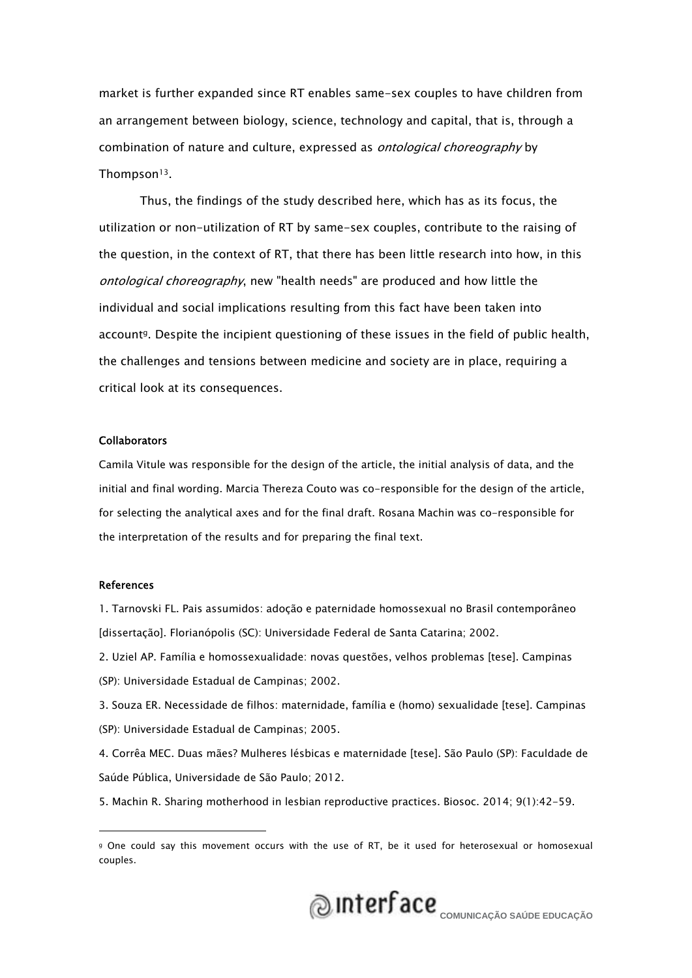market is further expanded since RT enables same-sex couples to have children from an arrangement between biology, science, technology and capital, that is, through a combination of nature and culture, expressed as *ontological choreography* by Thompson13.

Thus, the findings of the study described here, which has as its focus, the utilization or non-utilization of RT by same-sex couples, contribute to the raising of the question, in the context of RT, that there has been little research into how, in this ontological choreography, new "health needs" are produced and how little the individual and social implications resulting from this fact have been taken into account<sup>g</sup>. Despite the incipient questioning of these issues in the field of public health, the challenges and tensions between medicine and society are in place, requiring a critical look at its consequences.

#### Collaborators

Camila Vitule was responsible for the design of the article, the initial analysis of data, and the initial and final wording. Marcia Thereza Couto was co-responsible for the design of the article, for selecting the analytical axes and for the final draft. Rosana Machin was co-responsible for the interpretation of the results and for preparing the final text.

#### References

1. Tarnovski FL. Pais assumidos: adoção e paternidade homossexual no Brasil contemporâneo [dissertação]. Florianópolis (SC): Universidade Federal de Santa Catarina; 2002.

2. Uziel AP. Família e homossexualidade: novas questões, velhos problemas [tese]. Campinas (SP): Universidade Estadual de Campinas; 2002.

3. Souza ER. Necessidade de filhos: maternidade, família e (homo) sexualidade [tese]. Campinas (SP): Universidade Estadual de Campinas; 2005.

4. Corrêa MEC. Duas mães? Mulheres lésbicas e maternidade [tese]. São Paulo (SP): Faculdade de Saúde Pública, Universidade de São Paulo; 2012.

5. Machin R. Sharing motherhood in lesbian reproductive practices. Biosoc. 2014; 9(1):42-59.

g One could say this movement occurs with the use of RT, be it used for heterosexual or homosexual couples.

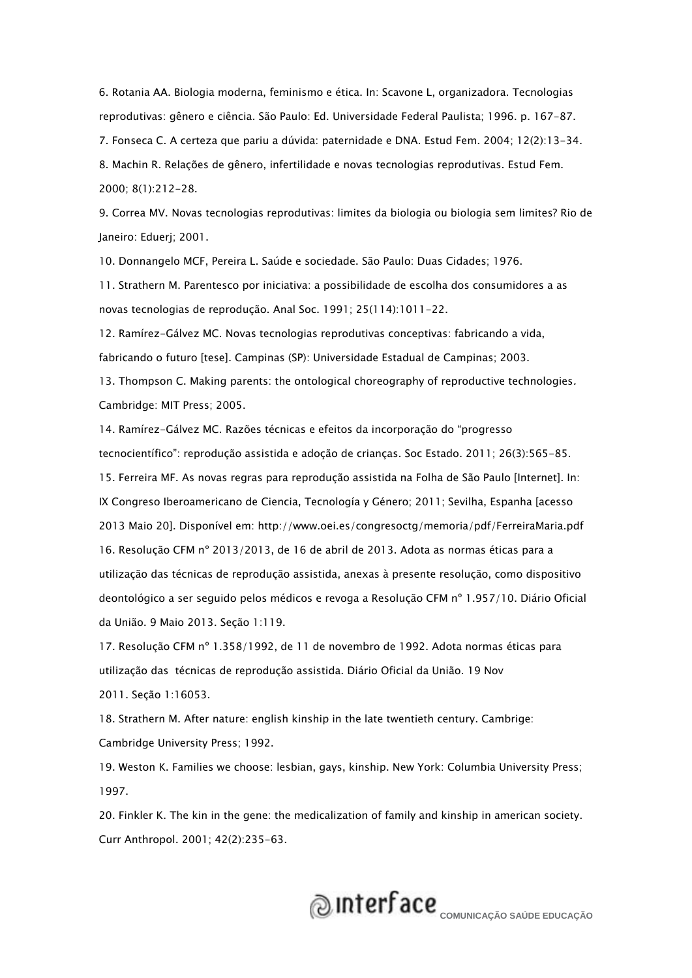6. Rotania AA. Biologia moderna, feminismo e ética. In: Scavone L, organizadora. Tecnologias reprodutivas: gênero e ciência. São Paulo: Ed. Universidade Federal Paulista; 1996. p. 167-87. 7. Fonseca C. A certeza que pariu a dúvida: paternidade e DNA. Estud Fem. 2004; 12(2):13-34.

8. Machin R. Relações de gênero, infertilidade e novas tecnologias reprodutivas. Estud Fem. 2000; 8(1):212-28.

9. Correa MV. Novas tecnologias reprodutivas: limites da biologia ou biologia sem limites? Rio de Janeiro: Eduerj; 2001.

10. Donnangelo MCF, Pereira L. Saúde e sociedade. São Paulo: Duas Cidades; 1976.

11. Strathern M. Parentesco por iniciativa: a possibilidade de escolha dos consumidores a as novas tecnologias de reprodução. Anal Soc. 1991; 25(114):1011-22.

12. Ramírez-Gálvez MC. Novas tecnologias reprodutivas conceptivas: fabricando a vida, fabricando o futuro [tese]. Campinas (SP): Universidade Estadual de Campinas; 2003.

13. Thompson C. Making parents: the ontological choreography of reproductive technologies. Cambridge: MIT Press; 2005.

14. Ramírez-Gálvez MC. Razões técnicas e efeitos da incorporação do "progresso tecnocientífico": reprodução assistida e adoção de crianças. Soc Estado. 2011; 26(3):565-85.

15. Ferreira MF. As novas regras para reprodução assistida na Folha de São Paulo [Internet]. In: IX Congreso Iberoamericano de Ciencia, Tecnología y Género; 2011; Sevilha, Espanha [acesso 2013 Maio 20]. Disponível em: http://www.oei.es/congresoctg/memoria/pdf/FerreiraMaria.pdf 16. Resolução CFM nº 2013/2013, de 16 de abril de 2013. Adota as normas éticas para a utilização das técnicas de reprodução assistida, anexas à presente resolução, como dispositivo deontológico a ser seguido pelos médicos e revoga a Resolução CFM nº 1.957/10. Diário Oficial da União. 9 Maio 2013. Seção 1:119.

17. Resolução CFM nº 1.358/1992, de 11 de novembro de 1992. Adota normas éticas para utilização das técnicas de reprodução assistida. Diário Oficial da União. 19 Nov 2011. Seção 1:16053.

18. Strathern M. After nature: english kinship in the late twentieth century. Cambrige: Cambridge University Press; 1992.

19. Weston K. Families we choose: lesbian, gays, kinship. New York: Columbia University Press; 1997.

20. Finkler K. The kin in the gene: the medicalization of family and kinship in american society. Curr Anthropol. 2001; 42(2):235-63.

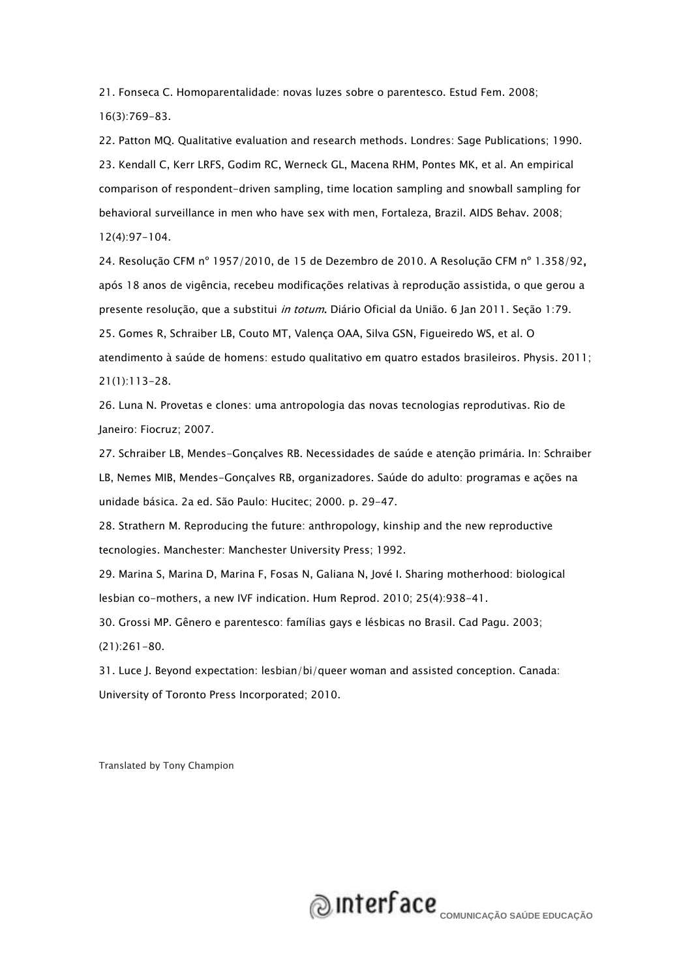21. Fonseca C. Homoparentalidade: novas luzes sobre o parentesco. Estud Fem. 2008; 16(3):769-83.

22. Patton MQ. Qualitative evaluation and research methods. Londres: Sage Publications; 1990. 23. Kendall C, Kerr LRFS, Godim RC, Werneck GL, Macena RHM, Pontes MK, et al. An empirical comparison of respondent-driven sampling, time location sampling and snowball sampling for behavioral surveillance in men who have sex with men, Fortaleza, Brazil. AIDS Behav. 2008; 12(4):97-104.

24. Resolução CFM nº 1957/2010, de 15 de Dezembro de 2010. A Resolução CFM nº 1.358/92, após 18 anos de vigência, recebeu modificações relativas à reprodução assistida, o que gerou a presente resolução, que a substitui in totum. Diário Oficial da União. 6 Jan 2011. Seção 1:79. 25. Gomes R, Schraiber LB, Couto MT, Valença OAA, Silva GSN, Figueiredo WS, et al. O atendimento à saúde de homens: estudo qualitativo em quatro estados brasileiros. Physis. 2011; 21(1):113-28.

26. Luna N. Provetas e clones: uma antropologia das novas tecnologias reprodutivas. Rio de Janeiro: Fiocruz; 2007.

27. Schraiber LB, Mendes-Gonçalves RB. Necessidades de saúde e atenção primária. In: Schraiber LB, Nemes MIB, Mendes-Gonçalves RB, organizadores. Saúde do adulto: programas e ações na unidade básica. 2a ed. São Paulo: Hucitec; 2000. p. 29-47.

28. Strathern M. Reproducing the future: anthropology, kinship and the new reproductive tecnologies. Manchester: Manchester University Press; 1992.

29. Marina S, Marina D, Marina F, Fosas N, Galiana N, Jové I. Sharing motherhood: biological lesbian co-mothers, a new IVF indication. Hum Reprod. 2010; 25(4):938-41.

30. Grossi MP. Gênero e parentesco: famílias gays e lésbicas no Brasil. Cad Pagu. 2003; (21):261-80.

31. Luce J. Beyond expectation: lesbian/bi/queer woman and assisted conception. Canada: University of Toronto Press Incorporated; 2010.

Translated by Tony Champion